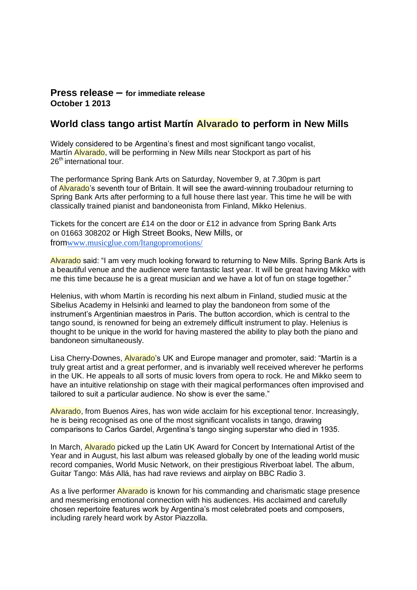## **Press release – for immediate release October 1 2013**

# **World class tango artist Martín Alvarado to perform in New Mills**

Widely considered to be Argentina's finest and most significant tango vocalist, Martín Alvarado, will be performing in New Mills near Stockport as part of his 26<sup>th</sup> international tour.

The performance Spring Bank Arts on Saturday, November 9, at 7.30pm is part of Alvarado's seventh tour of Britain. It will see the award-winning troubadour returning to Spring Bank Arts after performing to a full house there last year. This time he will be with classically trained pianist and bandoneonista from Finland, Mikko Helenius.

Tickets for the concert are £14 on the door or £12 in advance from Spring Bank Arts on 01663 308202 or High Street Books, New Mills, or from[www.musicglue.com/ltangopromotions/](http://www.musicglue.com/ltangopromotions/)

Alvarado said: "I am very much looking forward to returning to New Mills. Spring Bank Arts is a beautiful venue and the audience were fantastic last year. It will be great having Mikko with me this time because he is a great musician and we have a lot of fun on stage together."

Helenius, with whom Martín is recording his next album in Finland, studied music at the Sibelius Academy in Helsinki and learned to play the bandoneon from some of the instrument's Argentinian maestros in Paris. The button accordion, which is central to the tango sound, is renowned for being an extremely difficult instrument to play. Helenius is thought to be unique in the world for having mastered the ability to play both the piano and bandoneon simultaneously.

Lisa Cherry-Downes, Alvarado's UK and Europe manager and promoter, said: "Martín is a truly great artist and a great performer, and is invariably well received wherever he performs in the UK. He appeals to all sorts of music lovers from opera to rock. He and Mikko seem to have an intuitive relationship on stage with their magical performances often improvised and tailored to suit a particular audience. No show is ever the same."

Alvarado, from Buenos Aires, has won wide acclaim for his exceptional tenor. Increasingly, he is being recognised as one of the most significant vocalists in tango, drawing comparisons to Carlos Gardel, Argentina's tango singing superstar who died in 1935.

In March, Alvarado picked up the Latin UK Award for Concert by International Artist of the Year and in August, his last album was released globally by one of the leading world music record companies, World Music Network, on their prestigious Riverboat label. The album, Guitar Tango: Más Allá, has had rave reviews and airplay on BBC Radio 3.

As a live performer Alvarado is known for his commanding and charismatic stage presence and mesmerising emotional connection with his audiences. His acclaimed and carefully chosen repertoire features work by Argentina's most celebrated poets and composers, including rarely heard work by Astor Piazzolla.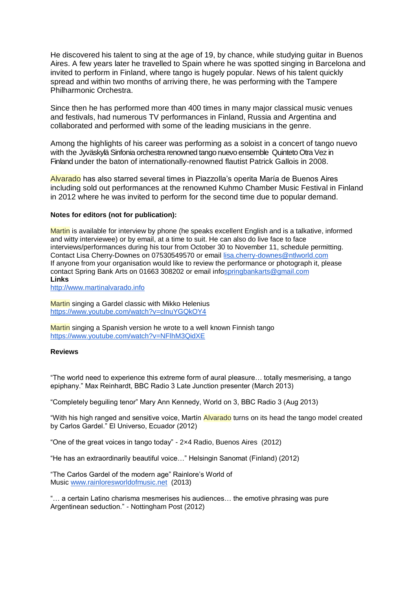He discovered his talent to sing at the age of 19, by chance, while studying guitar in Buenos Aires. A few years later he travelled to Spain where he was spotted singing in Barcelona and invited to perform in Finland, where tango is hugely popular. News of his talent quickly spread and within two months of arriving there, he was performing with the Tampere Philharmonic Orchestra.

Since then he has performed more than 400 times in many major classical music venues and festivals, had numerous TV performances in Finland, Russia and Argentina and collaborated and performed with some of the leading musicians in the genre.

Among the highlights of his career was performing as a soloist in a concert of tango nuevo with the Jyväskylä Sinfonia orchestra renowned tango nuevo ensemble Quinteto Otra Vez in Finland under the baton of internationally-renowned flautist Patrick Gallois in 2008.

Alvarado has also starred several times in Piazzolla's operita María de Buenos Aires including sold out performances at the renowned Kuhmo Chamber Music Festival in Finland in 2012 where he was invited to perform for the second time due to popular demand.

#### **Notes for editors (not for publication):**

Martin is available for interview by phone (he speaks excellent English and is a talkative, informed and witty interviewee) or by email, at a time to suit. He can also do live face to face interviews/performances during his tour from October 30 to November 11, schedule permitting. Contact Lisa Cherry-Downes on 07530549570 or email [lisa.cherry-downes@ntlworld.com](mailto:lisa.cherry-downes@ntlworld.com) If anyone from your organisation would like to review the performance or photograph it, please contact Spring Bank Arts on 01663 308202 or email inf[ospringbankarts@gmail.com](mailto:springbankarts@gmail.com) **Links**

[http://www.martinalvarado.info](http://www.martinalvarado.info/)

Martin singing a Gardel classic with Mikko Helenius <https://www.youtube.com/watch?v=clnuYGQkOY4>

Martin singing a Spanish version he wrote to a well known Finnish tango <https://www.youtube.com/watch?v=NFlhM3QidXE>

#### **Reviews**

"The world need to experience this extreme form of aural pleasure… totally mesmerising, a tango epiphany." Max Reinhardt, BBC Radio 3 Late Junction presenter (March 2013)

"Completely beguiling tenor" Mary Ann Kennedy, World on 3, BBC Radio 3 (Aug 2013)

"With his high ranged and sensitive voice, Martín Alvarado turns on its head the tango model created by Carlos Gardel." El Universo, Ecuador (2012)

"One of the great voices in tango today" - 2×4 Radio, Buenos Aires (2012)

"He has an extraordinarily beautiful voice…" Helsingin Sanomat (Finland) (2012)

"The Carlos Gardel of the modern age" Rainlore's World of Music [www.rainloresworldofmusic.net](http://www.rainloresworldofmusic.net/) (2013)

"… a certain Latino charisma mesmerises his audiences… the emotive phrasing was pure Argentinean seduction." - Nottingham Post (2012)